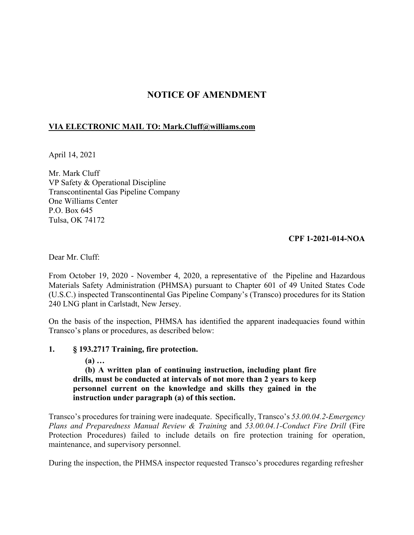# **NOTICE OF AMENDMENT**

## **VIA ELECTRONIC MAIL TO: [Mark.Cluff@williams.com](mailto:Mark.Cluff@williams.com)**

April 14, 2021

Mr. Mark Cluff VP Safety & Operational Discipline Transcontinental Gas Pipeline Company One Williams Center P.O. Box 645 Tulsa, OK 74172

### **CPF 1-2021-014-NOA**

Dear Mr. Cluff:

From October 19, 2020 - November 4, 2020, a representative of the Pipeline and Hazardous Materials Safety Administration (PHMSA) pursuant to Chapter 601 of 49 United States Code (U.S.C.) inspected Transcontinental Gas Pipeline Company's (Transco) procedures for its Station 240 LNG plant in Carlstadt, New Jersey.

On the basis of the inspection, PHMSA has identified the apparent inadequacies found within Transco's plans or procedures, as described below:

#### **1. § 193.2717 Training, fire protection.**

**(a) …** 

**(b) A written plan of continuing instruction, including plant fire drills, must be conducted at intervals of not more than 2 years to keep personnel current on the knowledge and skills they gained in the instruction under paragraph (a) of this section.** 

Transco's procedures for training were inadequate. Specifically, Transco's *53.00.04.2-Emergency Plans and Preparedness Manual Review & Training* and *53.00.04.1-Conduct Fire Drill* (Fire Protection Procedures) failed to include details on fire protection training for operation, maintenance, and supervisory personnel.

During the inspection, the PHMSA inspector requested Transco's procedures regarding refresher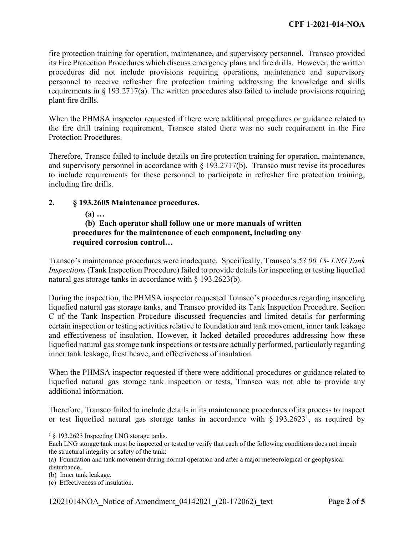fire protection training for operation, maintenance, and supervisory personnel. Transco provided its Fire Protection Procedures which discuss emergency plans and fire drills. However, the written procedures did not include provisions requiring operations, maintenance and supervisory personnel to receive refresher fire protection training addressing the knowledge and skills requirements in § 193.2717(a). The written procedures also failed to include provisions requiring plant fire drills.

When the PHMSA inspector requested if there were additional procedures or guidance related to the fire drill training requirement, Transco stated there was no such requirement in the Fire Protection Procedures.

Therefore, Transco failed to include details on fire protection training for operation, maintenance, and supervisory personnel in accordance with § 193.2717(b). Transco must revise its procedures to include requirements for these personnel to participate in refresher fire protection training, including fire drills.

#### **2. § 193.2605 Maintenance procedures.**

#### **(a) …**

## **(b) Each operator shall follow one or more manuals of written procedures for the maintenance of each component, including any required corrosion control…**

Transco's maintenance procedures were inadequate. Specifically, Transco's *[53.00.18](https://53.00.18)- LNG Tank Inspections* (Tank Inspection Procedure) failed to provide details for inspecting or testing liquefied natural gas storage tanks in accordance with § 193.2623(b).

During the inspection, the PHMSA inspector requested Transco's procedures regarding inspecting liquefied natural gas storage tanks, and Transco provided its Tank Inspection Procedure. Section C of the Tank Inspection Procedure discussed frequencies and limited details for performing certain inspection or testing activities relative to foundation and tank movement, inner tank leakage and effectiveness of insulation. However, it lacked detailed procedures addressing how these liquefied natural gas storage tank inspections or tests are actually performed, particularly regarding inner tank leakage, frost heave, and effectiveness of insulation.

When the PHMSA inspector requested if there were additional procedures or guidance related to liquefied natural gas storage tank inspection or tests, Transco was not able to provide any additional information.

Therefore, Transco failed to include details in its maintenance procedures of its process to inspect or test liquefied natural gas storage tanks in accordance with  $\S 193.2623^1$ , as required by

 $\overline{a}$ 

<sup>&</sup>lt;sup>1</sup> § 193.2623 Inspecting LNG storage tanks.

Each LNG storage tank must be inspected or tested to verify that each of the following conditions does not impair the structural integrity or safety of the tank:

<sup>(</sup>a) Foundation and tank movement during normal operation and after a major meteorological or geophysical disturbance.

<sup>(</sup>b) Inner tank leakage.

<sup>(</sup>c) Effectiveness of insulation.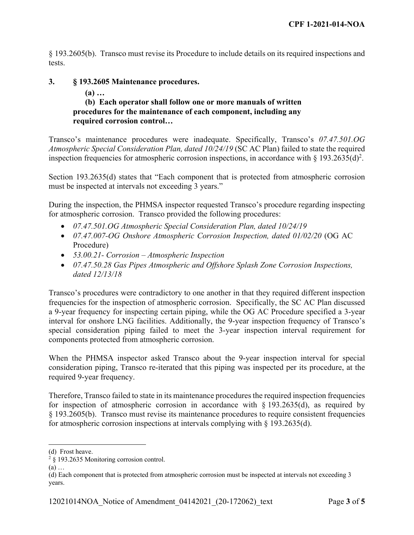§ 193.2605(b). Transco must revise its Procedure to include details on its required inspections and tests.

#### **3. § 193.2605 Maintenance procedures.**

## **(a) …**

### **(b) Each operator shall follow one or more manuals of written procedures for the maintenance of each component, including any required corrosion control…**

Transco's maintenance procedures were inadequate. Specifically, Transco's *[07.47.501.OG](https://07.47.501.OG) Atmospheric Special Consideration Plan, dated 10/24/19* (SC AC Plan) failed to state the required inspection frequencies for atmospheric corrosion inspections, in accordance with  $\S 193.2635(d)^2$ .

Section 193.2635(d) states that "Each component that is protected from atmospheric corrosion must be inspected at intervals not exceeding 3 years."

During the inspection, the PHMSA inspector requested Transco's procedure regarding inspecting for atmospheric corrosion. Transco provided the following procedures:

- *[07.47.501.OG](https://07.47.501.OG) Atmospheric Special Consideration Plan, dated 10/24/19*
- *07.47.007-OG Onshore Atmospheric Corrosion Inspection, dated 01/02/20* (OG AC Procedure)
- *[53.00.21](https://53.00.21) Corrosion Atmospheric Inspection*
- *[07.47.50.28](https://07.47.50.28) Gas Pipes Atmospheric and Offshore Splash Zone Corrosion Inspections, dated 12/13/18*

Transco's procedures were contradictory to one another in that they required different inspection frequencies for the inspection of atmospheric corrosion. Specifically, the SC AC Plan discussed a 9-year frequency for inspecting certain piping, while the OG AC Procedure specified a 3-year interval for onshore LNG facilities. Additionally, the 9-year inspection frequency of Transco's special consideration piping failed to meet the 3-year inspection interval requirement for components protected from atmospheric corrosion.

When the PHMSA inspector asked Transco about the 9-year inspection interval for special consideration piping, Transco re-iterated that this piping was inspected per its procedure, at the required 9-year frequency.

Therefore, Transco failed to state in its maintenance procedures the required inspection frequencies for inspection of atmospheric corrosion in accordance with  $\S$  193.2635(d), as required by § 193.2605(b). Transco must revise its maintenance procedures to require consistent frequencies for atmospheric corrosion inspections at intervals complying with § 193.2635(d).

 $\overline{a}$ 

<sup>(</sup>d) Frost heave.

 $2 \times 193.2635$  Monitoring corrosion control.

<sup>(</sup>a) …

<sup>(</sup>d) Each component that is protected from atmospheric corrosion must be inspected at intervals not exceeding 3 years.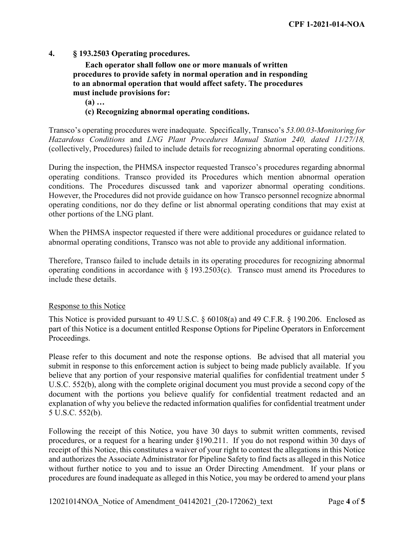#### **4. § 193.2503 Operating procedures.**

**Each operator shall follow one or more manuals of written procedures to provide safety in normal operation and in responding to an abnormal operation that would affect safety. The procedures must include provisions for:** 

**(a) …** 

#### **(c) Recognizing abnormal operating conditions.**

Transco's operating procedures were inadequate. Specifically, Transco's *53.00.03-Monitoring for Hazardous Conditions* and *LNG Plant Procedures Manual Station 240, dated 11/27/18,*  (collectively, Procedures) failed to include details for recognizing abnormal operating conditions.

During the inspection, the PHMSA inspector requested Transco's procedures regarding abnormal operating conditions. Transco provided its Procedures which mention abnormal operation conditions. The Procedures discussed tank and vaporizer abnormal operating conditions. However, the Procedures did not provide guidance on how Transco personnel recognize abnormal operating conditions, nor do they define or list abnormal operating conditions that may exist at other portions of the LNG plant.

When the PHMSA inspector requested if there were additional procedures or guidance related to abnormal operating conditions, Transco was not able to provide any additional information.

Therefore, Transco failed to include details in its operating procedures for recognizing abnormal operating conditions in accordance with § 193.2503(c). Transco must amend its Procedures to include these details.

#### Response to this Notice

This Notice is provided pursuant to 49 U.S.C. § 60108(a) and 49 C.F.R. § 190.206. Enclosed as part of this Notice is a document entitled Response Options for Pipeline Operators in Enforcement Proceedings.

Please refer to this document and note the response options. Be advised that all material you submit in response to this enforcement action is subject to being made publicly available. If you believe that any portion of your responsive material qualifies for confidential treatment under 5 U.S.C. 552(b), along with the complete original document you must provide a second copy of the document with the portions you believe qualify for confidential treatment redacted and an explanation of why you believe the redacted information qualifies for confidential treatment under 5 U.S.C. 552(b).

Following the receipt of this Notice, you have 30 days to submit written comments, revised procedures, or a request for a hearing under §190.211. If you do not respond within 30 days of receipt of this Notice, this constitutes a waiver of your right to contest the allegations in this Notice and authorizes the Associate Administrator for Pipeline Safety to find facts as alleged in this Notice without further notice to you and to issue an Order Directing Amendment. If your plans or procedures are found inadequate as alleged in this Notice, you may be ordered to amend your plans